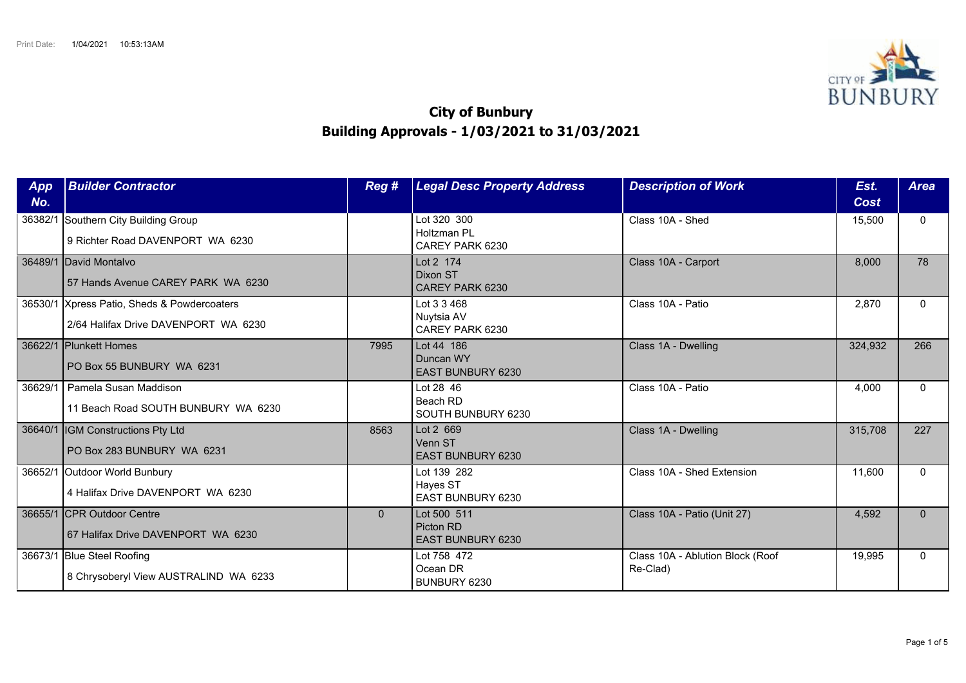

## **City of Bunbury Building Approvals - 1/03/2021 to 31/03/2021**

| App<br>No. | <b>Builder Contractor</b>                                                           | Reg #    | <b>Legal Desc Property Address</b>                   | <b>Description of Work</b>                   | Est.<br>Cost | <b>Area</b> |
|------------|-------------------------------------------------------------------------------------|----------|------------------------------------------------------|----------------------------------------------|--------------|-------------|
| 36382/1    | Southern City Building Group<br>9 Richter Road DAVENPORT WA 6230                    |          | Lot 320 300<br>Holtzman PI<br>CAREY PARK 6230        | Class 10A - Shed                             | 15,500       | $\Omega$    |
|            | 36489/1 David Montalvo<br>57 Hands Avenue CAREY PARK WA 6230                        |          | Lot 2 174<br>Dixon ST<br>CAREY PARK 6230             | Class 10A - Carport                          | 8,000        | 78          |
|            | 36530/1 Xpress Patio, Sheds & Powdercoaters<br>2/64 Halifax Drive DAVENPORT WA 6230 |          | Lot 3 3 468<br>Nuytsia AV<br>CAREY PARK 6230         | Class 10A - Patio                            | 2,870        | $\Omega$    |
| 36622/1    | <b>IPlunkett Homes</b><br>PO Box 55 BUNBURY WA 6231                                 | 7995     | Lot 44 186<br>Duncan WY<br><b>EAST BUNBURY 6230</b>  | Class 1A - Dwelling                          | 324,932      | 266         |
| 36629/1    | Pamela Susan Maddison<br>11 Beach Road SOUTH BUNBURY WA 6230                        |          | Lot 28 46<br>Beach RD<br>SOUTH BUNBURY 6230          | Class 10A - Patio                            | 4,000        | $\Omega$    |
|            | 36640/1  IGM Constructions Pty Ltd<br>PO Box 283 BUNBURY WA 6231                    | 8563     | Lot 2 669<br>Venn ST<br>EAST BUNBURY 6230            | Class 1A - Dwelling                          | 315,708      | 227         |
|            | 36652/1 Outdoor World Bunbury<br>4 Halifax Drive DAVENPORT WA 6230                  |          | Lot 139 282<br>Hayes ST<br>EAST BUNBURY 6230         | Class 10A - Shed Extension                   | 11,600       | $\Omega$    |
|            | 36655/1 CPR Outdoor Centre<br>67 Halifax Drive DAVENPORT WA 6230                    | $\Omega$ | Lot 500 511<br>Picton RD<br><b>EAST BUNBURY 6230</b> | Class 10A - Patio (Unit 27)                  | 4,592        | $\Omega$    |
|            | 36673/1 Blue Steel Roofing<br>8 Chrysoberyl View AUSTRALIND WA 6233                 |          | Lot 758 472<br>Ocean DR<br>BUNBURY 6230              | Class 10A - Ablution Block (Roof<br>Re-Clad) | 19,995       | $\Omega$    |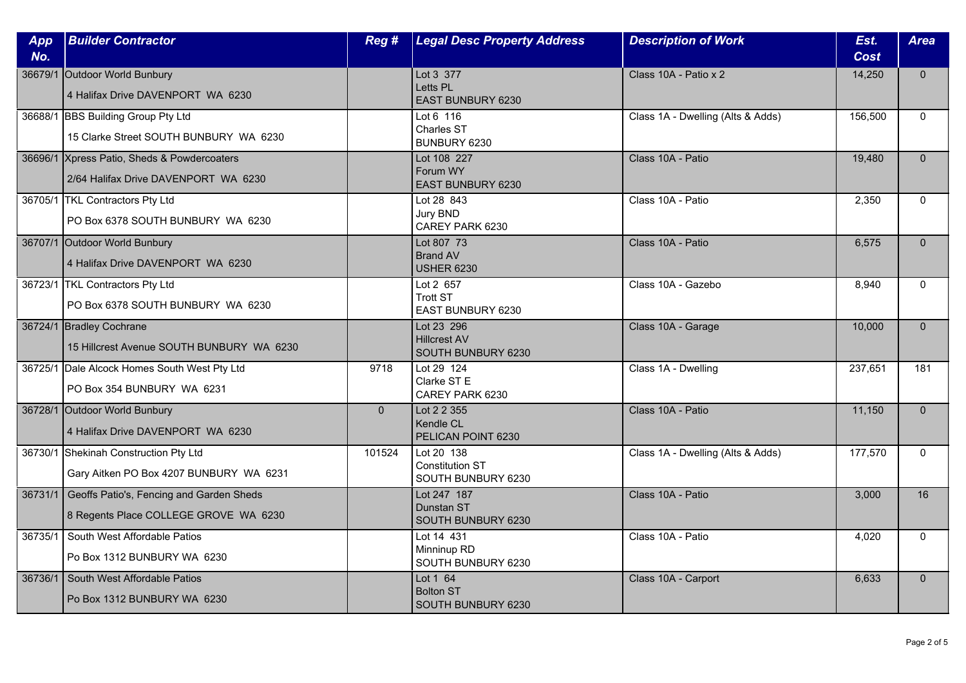| App<br>No. | <b>Builder Contractor</b>                                                                 | Reg #    | <b>Legal Desc Property Address</b>                         | <b>Description of Work</b>        | Est.<br><b>Cost</b> | <b>Area</b>  |
|------------|-------------------------------------------------------------------------------------------|----------|------------------------------------------------------------|-----------------------------------|---------------------|--------------|
|            | 36679/1 Outdoor World Bunbury<br>4 Halifax Drive DAVENPORT WA 6230                        |          | Lot 3 377<br>Letts PL<br>EAST BUNBURY 6230                 | Class 10A - Patio x 2             | 14,250              | $\mathbf{0}$ |
|            | 36688/1 BBS Building Group Pty Ltd<br>15 Clarke Street SOUTH BUNBURY WA 6230              |          | Lot 6 116<br>Charles ST<br>BUNBURY 6230                    | Class 1A - Dwelling (Alts & Adds) | 156,500             | $\Omega$     |
|            | 36696/1 Xpress Patio, Sheds & Powdercoaters<br>2/64 Halifax Drive DAVENPORT WA 6230       |          | Lot 108 227<br>Forum WY<br>EAST BUNBURY 6230               | Class 10A - Patio                 | 19,480              | $\Omega$     |
|            | 36705/1 TKL Contractors Pty Ltd<br>PO Box 6378 SOUTH BUNBURY WA 6230                      |          | Lot 28 843<br>Jury BND<br>CAREY PARK 6230                  | Class 10A - Patio                 | 2,350               | $\mathbf{0}$ |
|            | 36707/1 Outdoor World Bunbury<br>4 Halifax Drive DAVENPORT WA 6230                        |          | Lot 807 73<br><b>Brand AV</b><br><b>USHER 6230</b>         | Class 10A - Patio                 | 6,575               | $\Omega$     |
|            | 36723/1 TKL Contractors Pty Ltd<br>PO Box 6378 SOUTH BUNBURY WA 6230                      |          | Lot 2 657<br><b>Trott ST</b><br>EAST BUNBURY 6230          | Class 10A - Gazebo                | 8,940               | $\Omega$     |
|            | 36724/1 Bradley Cochrane<br>15 Hillcrest Avenue SOUTH BUNBURY WA 6230                     |          | Lot 23 296<br><b>Hillcrest AV</b><br>SOUTH BUNBURY 6230    | Class 10A - Garage                | 10,000              | $\mathbf{0}$ |
|            | 36725/1 Dale Alcock Homes South West Pty Ltd<br>PO Box 354 BUNBURY WA 6231                | 9718     | Lot 29 124<br>Clarke ST E<br>CAREY PARK 6230               | Class 1A - Dwelling               | 237,651             | 181          |
|            | 36728/1 Outdoor World Bunbury<br>4 Halifax Drive DAVENPORT WA 6230                        | $\Omega$ | Lot 2 2 355<br>Kendle CL<br>PELICAN POINT 6230             | Class 10A - Patio                 | 11,150              | $\Omega$     |
|            | 36730/1 Shekinah Construction Pty Ltd<br>Gary Aitken PO Box 4207 BUNBURY WA 6231          | 101524   | Lot 20 138<br><b>Constitution ST</b><br>SOUTH BUNBURY 6230 | Class 1A - Dwelling (Alts & Adds) | 177,570             | $\mathbf{0}$ |
|            | 36731/1 Geoffs Patio's, Fencing and Garden Sheds<br>8 Regents Place COLLEGE GROVE WA 6230 |          | Lot 247 187<br>Dunstan ST<br>SOUTH BUNBURY 6230            | Class 10A - Patio                 | 3,000               | 16           |
| 36735/1    | South West Affordable Patios<br>Po Box 1312 BUNBURY WA 6230                               |          | Lot 14 431<br>Minninup RD<br>SOUTH BUNBURY 6230            | Class 10A - Patio                 | 4,020               | $\Omega$     |
| 36736/1    | South West Affordable Patios<br>Po Box 1312 BUNBURY WA 6230                               |          | Lot 1 64<br><b>Bolton ST</b><br>SOUTH BUNBURY 6230         | Class 10A - Carport               | 6,633               | $\mathbf{0}$ |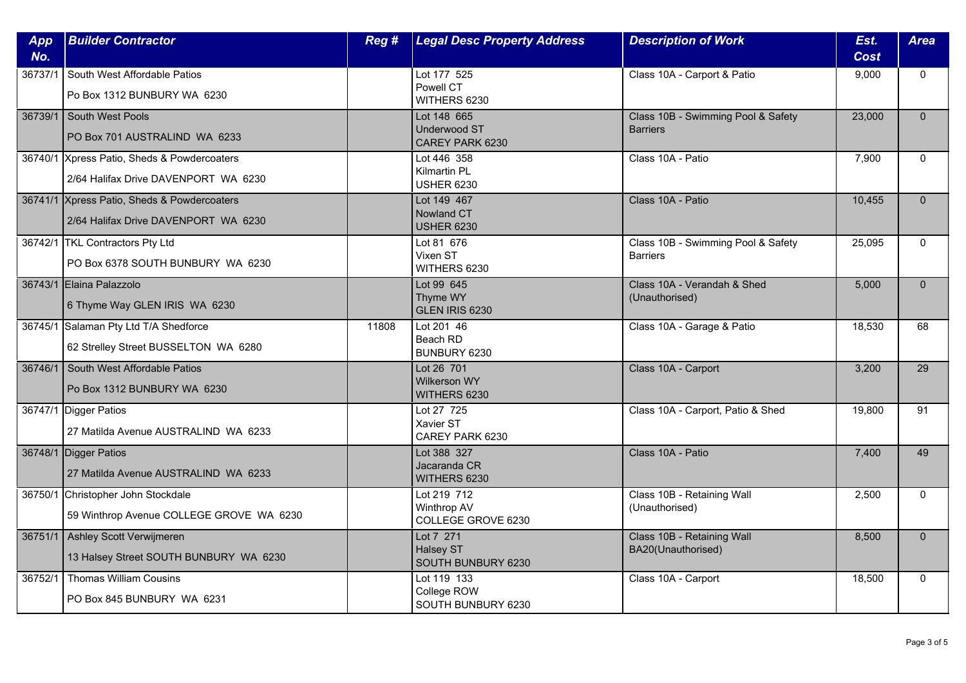| App<br>No. | <b>Builder Contractor</b>                                                           | Reg # | <b>Legal Desc Property Address</b>                    | <b>Description of Work</b>                            | Est.<br>Cost | <b>Area</b>  |
|------------|-------------------------------------------------------------------------------------|-------|-------------------------------------------------------|-------------------------------------------------------|--------------|--------------|
| 36737/1    | South West Affordable Patios<br>Po Box 1312 BUNBURY WA 6230                         |       | Lot 177 525<br>Powell CT<br>WITHERS 6230              | Class 10A - Carport & Patio                           | 9,000        | $\mathbf{0}$ |
| 36739/1    | South West Pools<br>PO Box 701 AUSTRALIND WA 6233                                   |       | Lot 148 665<br><b>Underwood ST</b><br>CAREY PARK 6230 | Class 10B - Swimming Pool & Safety<br><b>Barriers</b> | 23,000       | $\Omega$     |
|            | 36740/1 Xpress Patio, Sheds & Powdercoaters<br>2/64 Halifax Drive DAVENPORT WA 6230 |       | Lot 446 358<br>Kilmartin PL<br><b>USHER 6230</b>      | Class 10A - Patio                                     | 7,900        | $\Omega$     |
|            | 36741/1 Xpress Patio, Sheds & Powdercoaters<br>2/64 Halifax Drive DAVENPORT WA 6230 |       | Lot 149 467<br>Nowland CT<br><b>USHER 6230</b>        | Class 10A - Patio                                     | 10,455       | $\mathbf{0}$ |
|            | 36742/1 TKL Contractors Pty Ltd<br>PO Box 6378 SOUTH BUNBURY WA 6230                |       | Lot 81 676<br>Vixen ST<br>WITHERS 6230                | Class 10B - Swimming Pool & Safety<br><b>Barriers</b> | 25,095       | $\mathbf{0}$ |
|            | 36743/1 Elaina Palazzolo<br>6 Thyme Way GLEN IRIS WA 6230                           |       | Lot 99 645<br>Thyme WY<br>GLEN IRIS 6230              | Class 10A - Verandah & Shed<br>(Unauthorised)         | 5,000        | $\Omega$     |
|            | 36745/1 Salaman Pty Ltd T/A Shedforce<br>62 Strelley Street BUSSELTON WA 6280       | 11808 | Lot 201 46<br>Beach RD<br>BUNBURY 6230                | Class 10A - Garage & Patio                            | 18,530       | 68           |
| 36746/1    | South West Affordable Patios<br>Po Box 1312 BUNBURY WA 6230                         |       | Lot 26 701<br>Wilkerson WY<br>WITHERS 6230            | Class 10A - Carport                                   | 3,200        | 29           |
|            | 36747/1 Digger Patios<br>27 Matilda Avenue AUSTRALIND WA 6233                       |       | Lot 27 725<br>Xavier ST<br>CAREY PARK 6230            | Class 10A - Carport, Patio & Shed                     | 19,800       | 91           |
|            | 36748/1 Digger Patios<br>27 Matilda Avenue AUSTRALIND WA 6233                       |       | Lot 388 327<br>Jacaranda CR<br>WITHERS 6230           | Class 10A - Patio                                     | 7,400        | 49           |
| 36750/1    | Christopher John Stockdale<br>59 Winthrop Avenue COLLEGE GROVE WA 6230              |       | Lot 219 712<br>Winthrop AV<br>COLLEGE GROVE 6230      | Class 10B - Retaining Wall<br>(Unauthorised)          | 2,500        | $\Omega$     |
|            | 36751/1   Ashley Scott Verwijmeren<br>13 Halsey Street SOUTH BUNBURY WA 6230        |       | Lot 7 271<br><b>Halsey ST</b><br>SOUTH BUNBURY 6230   | Class 10B - Retaining Wall<br>BA20(Unauthorised)      | 8,500        | $\Omega$     |
| 36752/1    | <b>Thomas William Cousins</b><br>PO Box 845 BUNBURY WA 6231                         |       | Lot 119 133<br>College ROW<br>SOUTH BUNBURY 6230      | Class 10A - Carport                                   | 18,500       | $\mathbf{0}$ |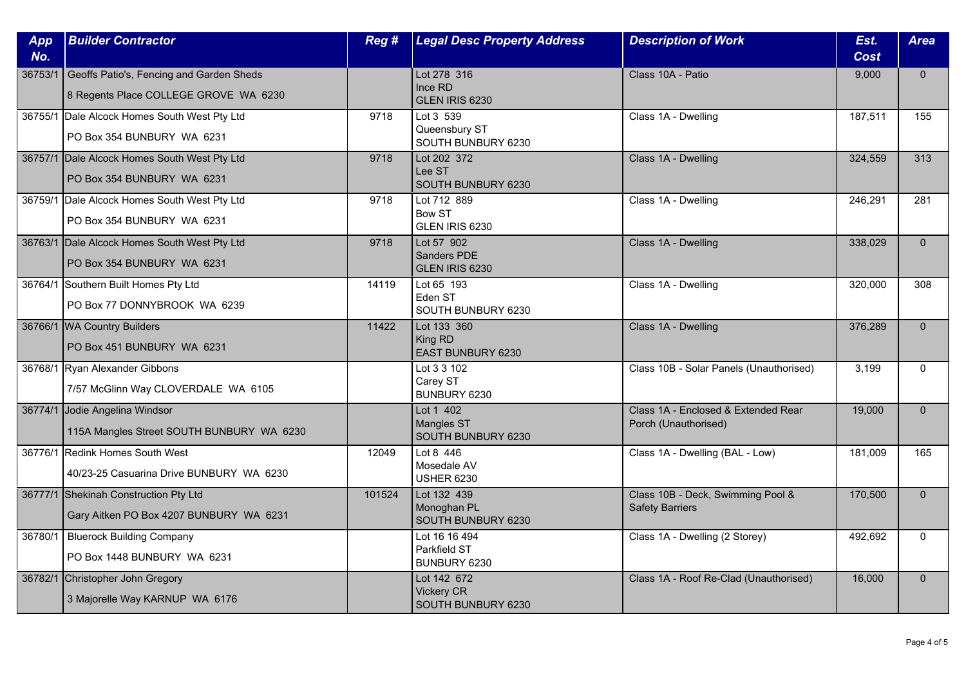| App     | <b>Builder Contractor</b>                                                         | Reg #  | <b>Legal Desc Property Address</b>                     | <b>Description of Work</b>                                  | Est.        | <b>Area</b>  |
|---------|-----------------------------------------------------------------------------------|--------|--------------------------------------------------------|-------------------------------------------------------------|-------------|--------------|
| No.     |                                                                                   |        |                                                        |                                                             | <b>Cost</b> |              |
| 36753/1 | Geoffs Patio's, Fencing and Garden Sheds<br>8 Regents Place COLLEGE GROVE WA 6230 |        | Lot 278 316<br>Ince RD<br>GLEN IRIS 6230               | Class 10A - Patio                                           | 9,000       | $\mathbf{0}$ |
|         | 36755/1 Dale Alcock Homes South West Pty Ltd<br>PO Box 354 BUNBURY WA 6231        | 9718   | Lot 3 539<br>Queensbury ST<br>SOUTH BUNBURY 6230       | Class 1A - Dwelling                                         | 187,511     | 155          |
|         | 36757/1 Dale Alcock Homes South West Pty Ltd<br>PO Box 354 BUNBURY WA 6231        | 9718   | Lot 202 372<br>Lee ST<br>SOUTH BUNBURY 6230            | Class 1A - Dwelling                                         | 324,559     | 313          |
|         | 36759/1 Dale Alcock Homes South West Pty Ltd<br>PO Box 354 BUNBURY WA 6231        | 9718   | Lot 712 889<br><b>Bow ST</b><br>GLEN IRIS 6230         | Class 1A - Dwelling                                         | 246,291     | 281          |
|         | 36763/1 Dale Alcock Homes South West Pty Ltd<br>PO Box 354 BUNBURY WA 6231        | 9718   | Lot 57 902<br>Sanders PDE<br>GLEN IRIS 6230            | Class 1A - Dwelling                                         | 338,029     | $\Omega$     |
|         | 36764/1 Southern Built Homes Pty Ltd<br>PO Box 77 DONNYBROOK WA 6239              | 14119  | Lot 65 193<br>Eden ST<br>SOUTH BUNBURY 6230            | Class 1A - Dwelling                                         | 320,000     | 308          |
|         | 36766/1 WA Country Builders<br>PO Box 451 BUNBURY WA 6231                         | 11422  | Lot 133 360<br>King RD<br>EAST BUNBURY 6230            | Class 1A - Dwelling                                         | 376,289     | $\mathbf{0}$ |
|         | 36768/1 Ryan Alexander Gibbons<br>7/57 McGlinn Way CLOVERDALE WA 6105             |        | Lot 3 3 102<br>Carey ST<br>BUNBURY 6230                | Class 10B - Solar Panels (Unauthorised)                     | 3,199       | $\mathbf{0}$ |
|         | 36774/1 Jodie Angelina Windsor<br>115A Mangles Street SOUTH BUNBURY WA 6230       |        | Lot 1 402<br><b>Mangles ST</b><br>SOUTH BUNBURY 6230   | Class 1A - Enclosed & Extended Rear<br>Porch (Unauthorised) | 19,000      | $\Omega$     |
|         | 36776/1 Redink Homes South West<br>40/23-25 Casuarina Drive BUNBURY WA 6230       | 12049  | Lot 8 446<br>Mosedale AV<br><b>USHER 6230</b>          | Class 1A - Dwelling (BAL - Low)                             | 181,009     | 165          |
|         | 36777/1 Shekinah Construction Pty Ltd<br>Gary Aitken PO Box 4207 BUNBURY WA 6231  | 101524 | Lot 132 439<br>Monoghan PL<br>SOUTH BUNBURY 6230       | Class 10B - Deck, Swimming Pool &<br><b>Safety Barriers</b> | 170,500     | $\mathbf{0}$ |
| 36780/1 | <b>Bluerock Building Company</b><br>PO Box 1448 BUNBURY WA 6231                   |        | Lot 16 16 494<br>Parkfield ST<br>BUNBURY 6230          | Class 1A - Dwelling (2 Storey)                              | 492,692     | $\Omega$     |
|         | 36782/1 Christopher John Gregory<br>3 Majorelle Way KARNUP WA 6176                |        | Lot 142 672<br><b>Vickery CR</b><br>SOUTH BUNBURY 6230 | Class 1A - Roof Re-Clad (Unauthorised)                      | 16,000      | $\mathbf{0}$ |